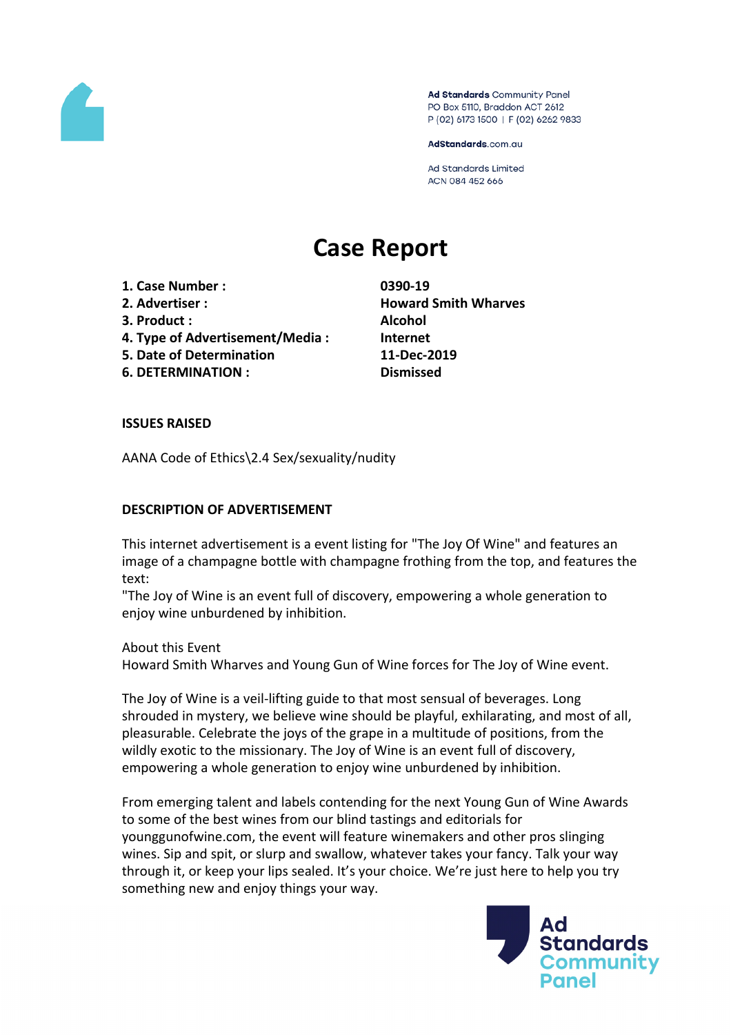

Ad Standards Community Panel PO Box 5110, Braddon ACT 2612 P (02) 6173 1500 | F (02) 6262 9833

AdStandards.com.au

**Ad Standards Limited** ACN 084 452 666

# **Case Report**

- **1. Case Number : 0390-19**
- 
- **3. Product : Alcohol**
- **4. Type of Advertisement/Media : Internet**
- **5. Date of Determination 11-Dec-2019**
- **6. DETERMINATION : Dismissed**

**2. Advertiser : Howard Smith Wharves**

### **ISSUES RAISED**

AANA Code of Ethics\2.4 Sex/sexuality/nudity

#### **DESCRIPTION OF ADVERTISEMENT**

This internet advertisement is a event listing for "The Joy Of Wine" and features an image of a champagne bottle with champagne frothing from the top, and features the text:

"The Joy of Wine is an event full of discovery, empowering a whole generation to enjoy wine unburdened by inhibition.

About this Event Howard Smith Wharves and Young Gun of Wine forces for The Joy of Wine event.

The Joy of Wine is a veil-lifting guide to that most sensual of beverages. Long shrouded in mystery, we believe wine should be playful, exhilarating, and most of all, pleasurable. Celebrate the joys of the grape in a multitude of positions, from the wildly exotic to the missionary. The Joy of Wine is an event full of discovery, empowering a whole generation to enjoy wine unburdened by inhibition.

From emerging talent and labels contending for the next Young Gun of Wine Awards to some of the best wines from our blind tastings and editorials for younggunofwine.com, the event will feature winemakers and other pros slinging wines. Sip and spit, or slurp and swallow, whatever takes your fancy. Talk your way through it, or keep your lips sealed. It's your choice. We're just here to help you try something new and enjoy things your way.

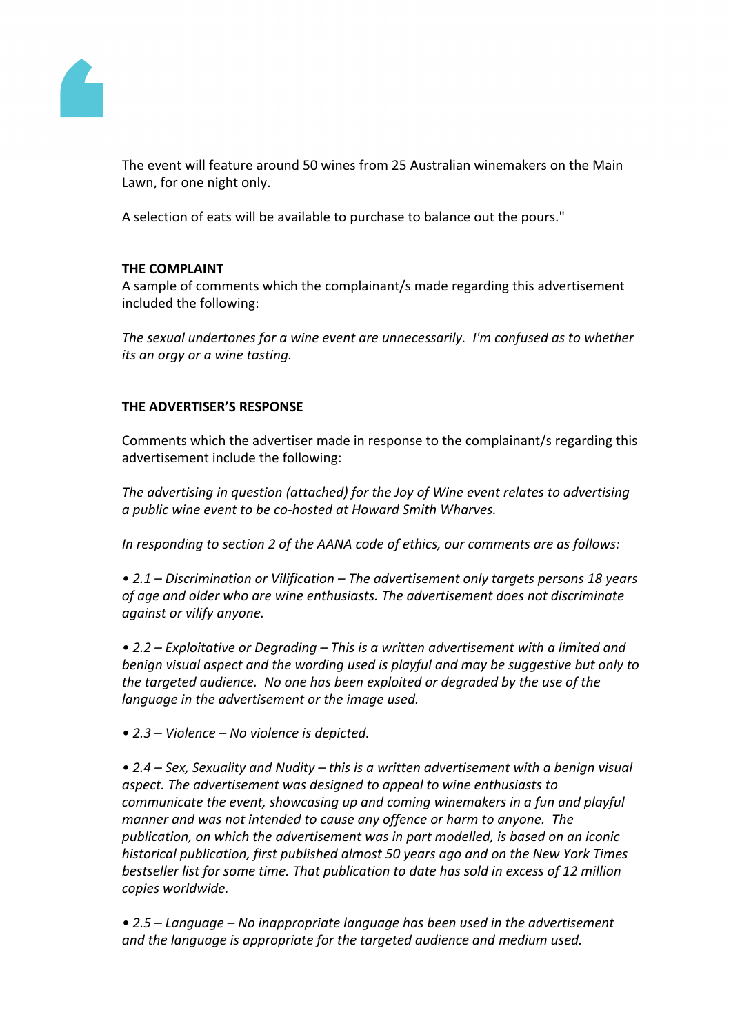

The event will feature around 50 wines from 25 Australian winemakers on the Main Lawn, for one night only.

A selection of eats will be available to purchase to balance out the pours."

## **THE COMPLAINT**

A sample of comments which the complainant/s made regarding this advertisement included the following:

*The sexual undertones for a wine event are unnecessarily. I'm confused as to whether its an orgy or a wine tasting.*

# **THE ADVERTISER'S RESPONSE**

Comments which the advertiser made in response to the complainant/s regarding this advertisement include the following:

*The advertising in question (attached) for the Joy of Wine event relates to advertising a public wine event to be co-hosted at Howard Smith Wharves.*

*In responding to section 2 of the AANA code of ethics, our comments are as follows:*

*• 2.1 – Discrimination or Vilification – The advertisement only targets persons 18 years of age and older who are wine enthusiasts. The advertisement does not discriminate against or vilify anyone.*

*• 2.2 – Exploitative or Degrading – This is a written advertisement with a limited and benign visual aspect and the wording used is playful and may be suggestive but only to the targeted audience. No one has been exploited or degraded by the use of the language in the advertisement or the image used.*

*• 2.3 – Violence – No violence is depicted.*

*• 2.4 – Sex, Sexuality and Nudity – this is a written advertisement with a benign visual aspect. The advertisement was designed to appeal to wine enthusiasts to communicate the event, showcasing up and coming winemakers in a fun and playful manner and was not intended to cause any offence or harm to anyone. The publication, on which the advertisement was in part modelled, is based on an iconic historical publication, first published almost 50 years ago and on the New York Times bestseller list for some time. That publication to date has sold in excess of 12 million copies worldwide.*

*• 2.5 – Language – No inappropriate language has been used in the advertisement and the language is appropriate for the targeted audience and medium used.*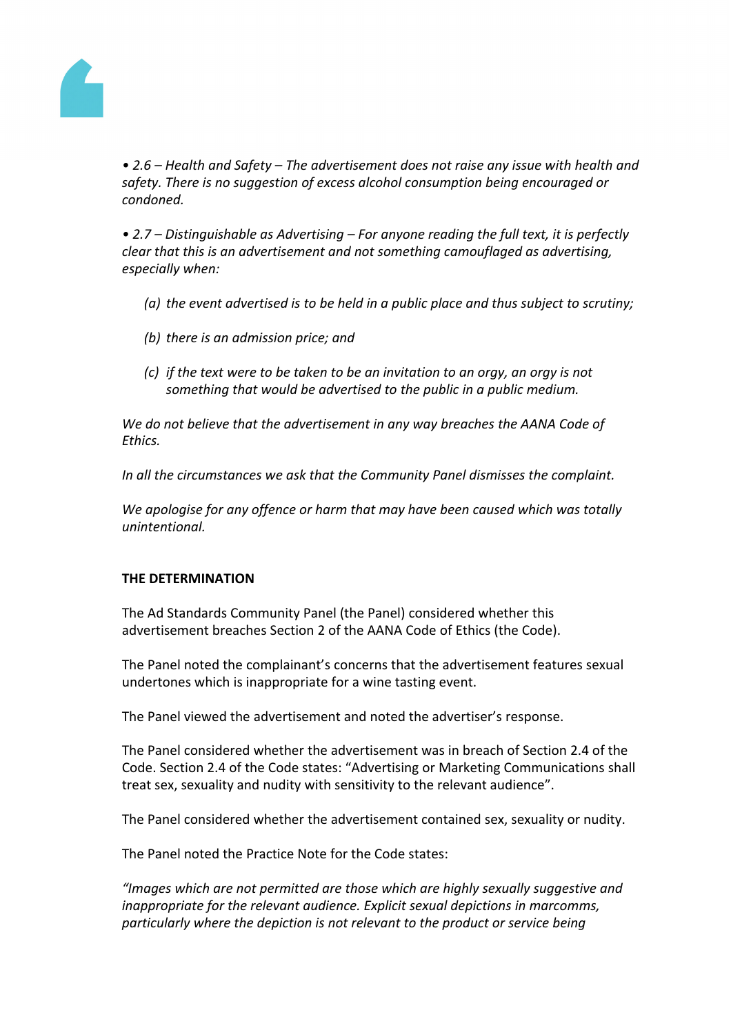

*• 2.6 – Health and Safety – The advertisement does not raise any issue with health and safety. There is no suggestion of excess alcohol consumption being encouraged or condoned.*

*• 2.7 – Distinguishable as Advertising – For anyone reading the full text, it is perfectly clear that this is an advertisement and not something camouflaged as advertising, especially when:*

- *(a) the event advertised is to be held in a public place and thus subject to scrutiny;*
- *(b) there is an admission price; and*
- *(c) if the text were to be taken to be an invitation to an orgy, an orgy is not something that would be advertised to the public in a public medium.*

*We do not believe that the advertisement in any way breaches the AANA Code of Ethics.*

*In all the circumstances we ask that the Community Panel dismisses the complaint.*

*We apologise for any offence or harm that may have been caused which was totally unintentional.*

### **THE DETERMINATION**

The Ad Standards Community Panel (the Panel) considered whether this advertisement breaches Section 2 of the AANA Code of Ethics (the Code).

The Panel noted the complainant's concerns that the advertisement features sexual undertones which is inappropriate for a wine tasting event.

The Panel viewed the advertisement and noted the advertiser's response.

The Panel considered whether the advertisement was in breach of Section 2.4 of the Code. Section 2.4 of the Code states: "Advertising or Marketing Communications shall treat sex, sexuality and nudity with sensitivity to the relevant audience".

The Panel considered whether the advertisement contained sex, sexuality or nudity.

The Panel noted the Practice Note for the Code states:

*"Images which are not permitted are those which are highly sexually suggestive and inappropriate for the relevant audience. Explicit sexual depictions in marcomms, particularly where the depiction is not relevant to the product or service being*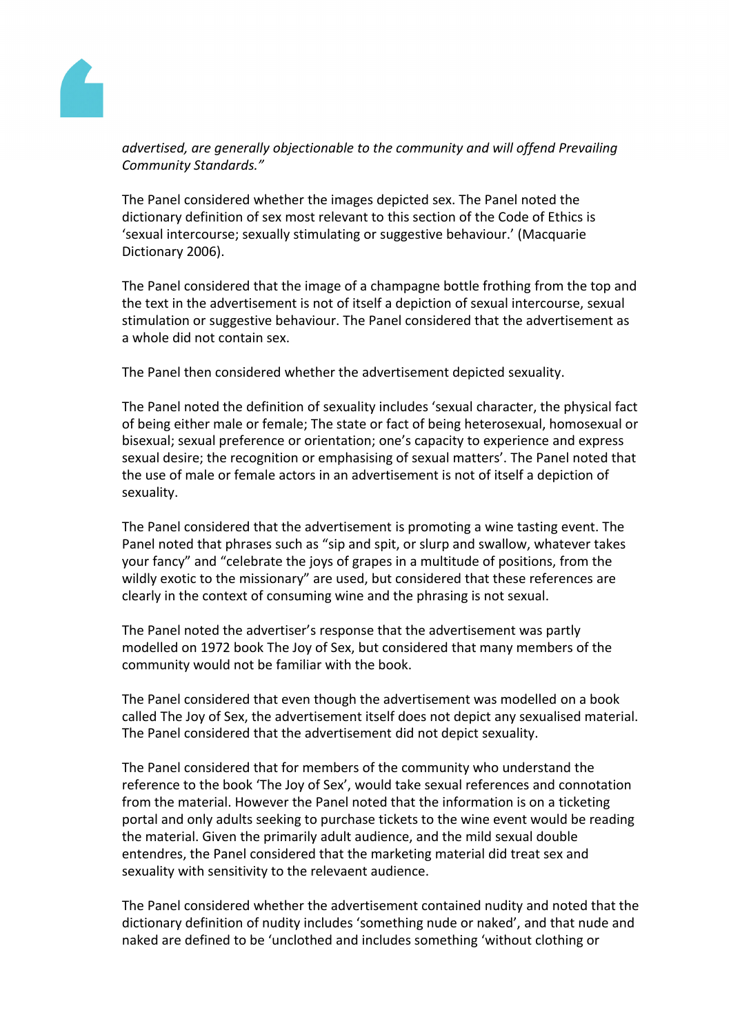

*advertised, are generally objectionable to the community and will offend Prevailing Community Standards."*

The Panel considered whether the images depicted sex. The Panel noted the dictionary definition of sex most relevant to this section of the Code of Ethics is 'sexual intercourse; sexually stimulating or suggestive behaviour.' (Macquarie Dictionary 2006).

The Panel considered that the image of a champagne bottle frothing from the top and the text in the advertisement is not of itself a depiction of sexual intercourse, sexual stimulation or suggestive behaviour. The Panel considered that the advertisement as a whole did not contain sex.

The Panel then considered whether the advertisement depicted sexuality.

The Panel noted the definition of sexuality includes 'sexual character, the physical fact of being either male or female; The state or fact of being heterosexual, homosexual or bisexual; sexual preference or orientation; one's capacity to experience and express sexual desire; the recognition or emphasising of sexual matters'. The Panel noted that the use of male or female actors in an advertisement is not of itself a depiction of sexuality.

The Panel considered that the advertisement is promoting a wine tasting event. The Panel noted that phrases such as "sip and spit, or slurp and swallow, whatever takes your fancy" and "celebrate the joys of grapes in a multitude of positions, from the wildly exotic to the missionary" are used, but considered that these references are clearly in the context of consuming wine and the phrasing is not sexual.

The Panel noted the advertiser's response that the advertisement was partly modelled on 1972 book The Joy of Sex, but considered that many members of the community would not be familiar with the book.

The Panel considered that even though the advertisement was modelled on a book called The Joy of Sex, the advertisement itself does not depict any sexualised material. The Panel considered that the advertisement did not depict sexuality.

The Panel considered that for members of the community who understand the reference to the book 'The Joy of Sex', would take sexual references and connotation from the material. However the Panel noted that the information is on a ticketing portal and only adults seeking to purchase tickets to the wine event would be reading the material. Given the primarily adult audience, and the mild sexual double entendres, the Panel considered that the marketing material did treat sex and sexuality with sensitivity to the relevaent audience.

The Panel considered whether the advertisement contained nudity and noted that the dictionary definition of nudity includes 'something nude or naked', and that nude and naked are defined to be 'unclothed and includes something 'without clothing or